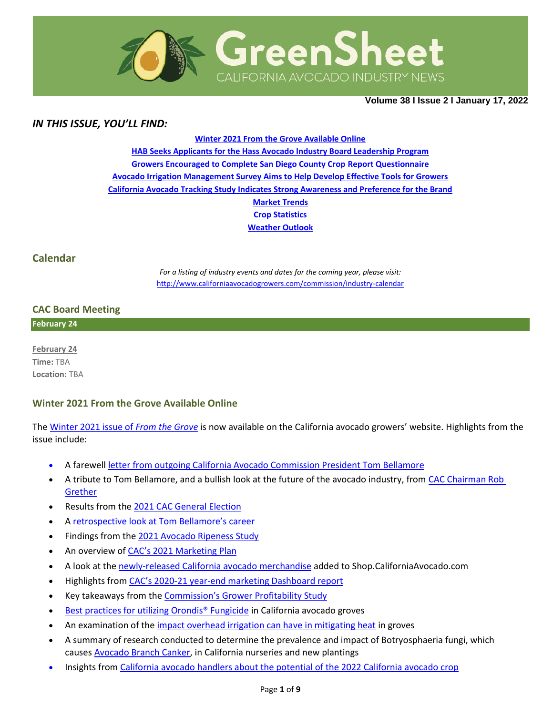

**Volume 38 Ι Issue 2 Ι January 17, 2022**

## *IN THIS ISSUE, YOU'LL FIND:*

**[Winter 2021 From the Grove Available Online](#page-0-0) [HAB Seeks Applicants for the Hass Avocado Industry Board Leadership Program](#page-1-0) [Growers Encouraged to Complete San Diego County Crop](#page-1-1) Report Questionnaire [Avocado Irrigation Management Survey Aims to Help Develop Effective Tools for Growers](#page-2-0) [California Avocado Tracking Study Indicates Strong Awareness and Preference for the Brand](#page-2-1) [Market](#page-3-0) Trends Crop [Statistics](#page-4-0) [Weather Outlook](#page-5-0)**

### **Calendar**

*For a listing of industry events and dates for the coming year, please visit:*  <http://www.californiaavocadogrowers.com/commission/industry-calendar>

### **CAC Board Meeting**

**February 24**

**February 24 Time:** TBA **Location:** TBA

### <span id="page-0-0"></span>**Winter 2021 From the Grove Available Online**

The [Winter 2021 issue of](https://www.californiaavocadogrowers.com/publications/from-the-grove) *From the Grove* is now available on the California avocado growers' website. Highlights from the issue include:

- A farewell [letter from outgoing California Avocado Commission President Tom Bellamore](https://www.californiaavocadogrowers.com/sites/default/files/documents/1-Message-from-the-President-Winter-2021.pdf)
- A tribute to Tom Bellamore, and a bullish look at the future of the avocado industry, from [CAC Chairman Rob](https://www.californiaavocadogrowers.com/sites/default/files/documents/2-Chairmans-Report-Winter-2021.pdf)  **[Grether](https://www.californiaavocadogrowers.com/sites/default/files/documents/2-Chairmans-Report-Winter-2021.pdf)**
- Results from the [2021 CAC General Election](https://www.californiaavocadogrowers.com/sites/default/files/documents/3-CAC-2021-General-and-Board-Officer-Election-Results-Winter-2021.pdf)
- A [retrospective look at Tom Bellamore's career](https://www.californiaavocadogrowers.com/sites/default/files/documents/4-Tom-Bellamore-Rides-into-the-Sunset-After-an-Impressive-Career-Winter-2021.pdf)
- Findings from the [2021 Avocado Ripeness Study](https://www.californiaavocadogrowers.com/sites/default/files/documents/5-Avocado-Ripness-Study-Helps-Handlers-and-Retailers-Winter-2021.pdf)
- An overview of [CAC's 2021 Marketing Plan](https://www.californiaavocadogrowers.com/sites/default/files/documents/6-California-Avocado-2021-22-Marketing-Plan-Overview-Winter-2021.pdf)
- A look at the [newly-released California avocado merchandise](https://www.californiaavocadogrowers.com/sites/default/files/documents/10-New-Items-Added-to-the-California-Avocado-Merchandise-Shop-Winter-2021.pdf) added to Shop.CaliforniaAvocado.com
- Highlights from CAC's 2020[-21 year-end marketing Dashboard report](https://www.californiaavocadogrowers.com/sites/default/files/documents/7-California-Avocado-Marketing-Performance-A-Recap-of-Fiscal-Year-2020-21-Winter-2021.pdf)
- Key takeaways from the [Commission's Grower Profitability Study](https://www.californiaavocadogrowers.com/sites/default/files/documents/8-Commissions-Grower-Profitability-Study-Finalized-Winter-2021.pdf)
- [Best practices for utilizing Orondis® Fungicide](https://www.californiaavocadogrowers.com/sites/default/files/documents/9-Orondis-Fungicide-Available-for-use-in-California-Avocado-Groves-Winter-2021.pdf) in California avocado groves
- An examination of the [impact overhead irrigation can have in mitigating heat](https://www.californiaavocadogrowers.com/sites/default/files/documents/11-Potential-for-Heat-Mitigation-by-Overhead-Irrigation-in-Avocado-Groves-Winter-2021.pdf) in groves
- A summary of research conducted to determine the prevalence and impact of Botryosphaeria fungi, which causes [Avocado Branch Canker,](https://www.californiaavocadogrowers.com/sites/default/files/documents/12-Prevalence-Impact-and-Significance-of-Botryosphaeria-Fungi-in-Avocado-Nurseries-and-New-Plantings-in-California-Winter-2021.pdf) in California nurseries and new plantings
- Insights from [California avocado handlers about the potential of the 2022 California avocado crop](https://www.californiaavocadogrowers.com/sites/default/files/documents/13-Optimism-Abounds-for-2022-California-Crop-Winter-2021.pdf)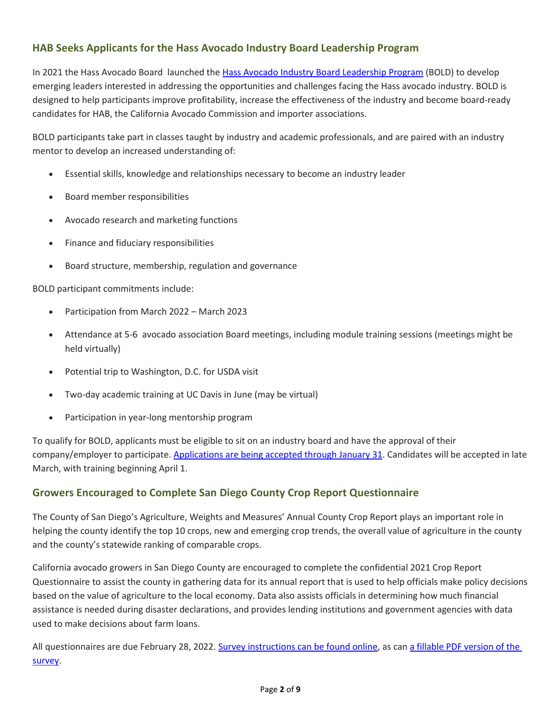# <span id="page-1-0"></span>**HAB Seeks Applicants for the Hass Avocado Industry Board Leadership Program**

In 2021 the Hass Avocado Board launched the [Hass Avocado Industry Board Leadership Program](https://hassavocadoboard.com/bold-program/) (BOLD) to develop emerging leaders interested in addressing the opportunities and challenges facing the Hass avocado industry. BOLD is designed to help participants improve profitability, increase the effectiveness of the industry and become board-ready candidates for HAB, the California Avocado Commission and importer associations.

BOLD participants take part in classes taught by industry and academic professionals, and are paired with an industry mentor to develop an increased understanding of:

- Essential skills, knowledge and relationships necessary to become an industry leader
- Board member responsibilities
- Avocado research and marketing functions
- Finance and fiduciary responsibilities
- Board structure, membership, regulation and governance

BOLD participant commitments include:

- Participation from March 2022 March 2023
- Attendance at 5-6 avocado association Board meetings, including module training sessions (meetings might be held virtually)
- Potential trip to Washington, D.C. for USDA visit
- Two-day academic training at UC Davis in June (may be virtual)
- Participation in year-long mentorship program

To qualify for BOLD, applicants must be eligible to sit on an industry board and have the approval of their company/employer to participate. [Applications are being accepted through January 31.](https://hassavocadoboard.com/bold-application/) Candidates will be accepted in late March, with training beginning April 1.

### <span id="page-1-1"></span>**Growers Encouraged to Complete San Diego County Crop Report Questionnaire**

The County of San Diego's Agriculture, Weights and Measures' Annual County Crop Report plays an important role in helping the county identify the top 10 crops, new and emerging crop trends, the overall value of agriculture in the county and the county's statewide ranking of comparable crops.

California avocado growers in San Diego County are encouraged to complete the confidential 2021 Crop Report Questionnaire to assist the county in gathering data for its annual report that is used to help officials make policy decisions based on the value of agriculture to the local economy. Data also assists officials in determining how much financial assistance is needed during disaster declarations, and provides lending institutions and government agencies with data used to make decisions about farm loans.

All questionnaires are due February 28, 2022[. Survey instructions can be found online,](https://www.sandiegocounty.gov/content/dam/sdc/awm/docs/2021CRInstructions.pdf) as ca[n a fillable PDF version of the](https://www.sandiegocounty.gov/content/dam/sdc/awm/docs/2021CRSurveyFillable.pdf)  [survey.](https://www.sandiegocounty.gov/content/dam/sdc/awm/docs/2021CRSurveyFillable.pdf)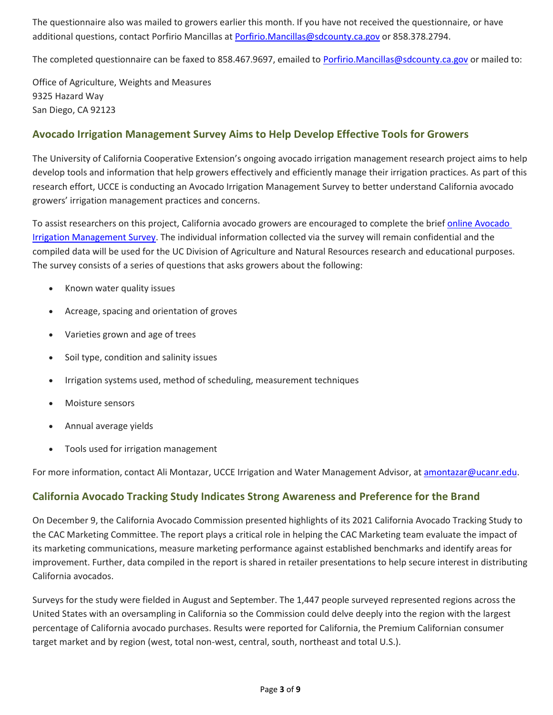The questionnaire also was mailed to growers earlier this month. If you have not received the questionnaire, or have additional questions, contact Porfirio Mancillas at [Porfirio.Mancillas@sdcounty.ca.gov](mailto:Porfirio.Mancillas@sdcounty.ca.gov) or 858.378.2794.

The completed questionnaire can be faxed to 858.467.9697, emailed to [Porfirio.Mancillas@sdcounty.ca.gov](mailto:Porfirio.Mancillas@sdcounty.ca.gov) or mailed to:

Office of Agriculture, Weights and Measures 9325 Hazard Way San Diego, CA 92123

### <span id="page-2-0"></span>**Avocado Irrigation Management Survey Aims to Help Develop Effective Tools for Growers**

The University of California Cooperative Extension's ongoing avocado irrigation management research project aims to help develop tools and information that help growers effectively and efficiently manage their irrigation practices. As part of this research effort, UCCE is conducting an Avocado Irrigation Management Survey to better understand California avocado growers' irrigation management practices and concerns.

To assist researchers on this project, California avocado growers are encouraged to complete the brief online Avocado [Irrigation Management Survey.](https://surveys.ucanr.edu/survey.cfm?surveynumber=36053) The individual information collected via the survey will remain confidential and the compiled data will be used for the UC Division of Agriculture and Natural Resources research and educational purposes. The survey consists of a series of questions that asks growers about the following:

- Known water quality issues
- Acreage, spacing and orientation of groves
- Varieties grown and age of trees
- Soil type, condition and salinity issues
- Irrigation systems used, method of scheduling, measurement techniques
- Moisture sensors
- Annual average yields
- Tools used for irrigation management

For more information, contact Ali Montazar, UCCE Irrigation and Water Management Advisor, a[t amontazar@ucanr.edu.](mailto:amontazar@ucanr.edu)

### <span id="page-2-1"></span>**California Avocado Tracking Study Indicates Strong Awareness and Preference for the Brand**

On December 9, the California Avocado Commission presented highlights of its 2021 California Avocado Tracking Study to the CAC Marketing Committee. The report plays a critical role in helping the CAC Marketing team evaluate the impact of its marketing communications, measure marketing performance against established benchmarks and identify areas for improvement. Further, data compiled in the report is shared in retailer presentations to help secure interest in distributing California avocados.

Surveys for the study were fielded in August and September. The 1,447 people surveyed represented regions across the United States with an oversampling in California so the Commission could delve deeply into the region with the largest percentage of California avocado purchases. Results were reported for California, the Premium Californian consumer target market and by region (west, total non-west, central, south, northeast and total U.S.).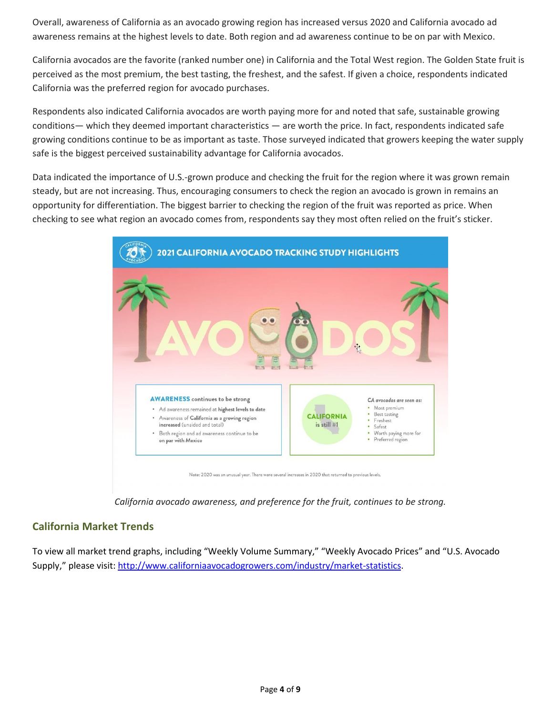Overall, awareness of California as an avocado growing region has increased versus 2020 and California avocado ad awareness remains at the highest levels to date. Both region and ad awareness continue to be on par with Mexico.

California avocados are the favorite (ranked number one) in California and the Total West region. The Golden State fruit is perceived as the most premium, the best tasting, the freshest, and the safest. If given a choice, respondents indicated California was the preferred region for avocado purchases.

Respondents also indicated California avocados are worth paying more for and noted that safe, sustainable growing conditions— which they deemed important characteristics — are worth the price. In fact, respondents indicated safe growing conditions continue to be as important as taste. Those surveyed indicated that growers keeping the water supply safe is the biggest perceived sustainability advantage for California avocados.

Data indicated the importance of U.S.-grown produce and checking the fruit for the region where it was grown remain steady, but are not increasing. Thus, encouraging consumers to check the region an avocado is grown in remains an opportunity for differentiation. The biggest barrier to checking the region of the fruit was reported as price. When checking to see what region an avocado comes from, respondents say they most often relied on the fruit's sticker.



*California avocado awareness, and preference for the fruit, continues to be strong.*

### <span id="page-3-0"></span>**California Market Trends**

To view all market trend graphs, including "Weekly Volume Summary," "Weekly Avocado Prices" and "U.S. Avocado Supply," please visit[: http://www.californiaavocadogrowers.com/industry/market-statistics.](http://www.californiaavocadogrowers.com/industry/market-statistics)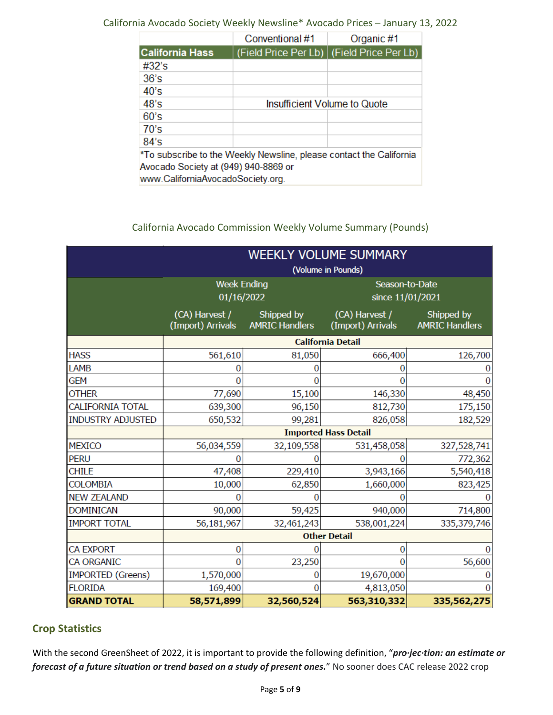### California Avocado Society Weekly Newsline\* Avocado Prices – January 13, 2022

|                                                                                                                                                  | Conventional #1              | Organic #1                                  |  |  |  |  |
|--------------------------------------------------------------------------------------------------------------------------------------------------|------------------------------|---------------------------------------------|--|--|--|--|
| California Hass                                                                                                                                  |                              | (Field Price Per Lb)   (Field Price Per Lb) |  |  |  |  |
| #32's                                                                                                                                            |                              |                                             |  |  |  |  |
| 36's                                                                                                                                             |                              |                                             |  |  |  |  |
| 40's                                                                                                                                             |                              |                                             |  |  |  |  |
| 48's                                                                                                                                             | Insufficient Volume to Quote |                                             |  |  |  |  |
| 60's                                                                                                                                             |                              |                                             |  |  |  |  |
| 70's                                                                                                                                             |                              |                                             |  |  |  |  |
| 84's                                                                                                                                             |                              |                                             |  |  |  |  |
| *To subscribe to the Weekly Newsline, please contact the California<br>Avocado Society at (949) 940-8869 or<br>www.CaliforniaAvocadoSociety.org. |                              |                                             |  |  |  |  |

### California Avocado Commission Weekly Volume Summary (Pounds)

|                          | <b>WEEKLY VOLUME SUMMARY</b>        |                                     |                                     |                                     |  |  |
|--------------------------|-------------------------------------|-------------------------------------|-------------------------------------|-------------------------------------|--|--|
|                          | (Volume in Pounds)                  |                                     |                                     |                                     |  |  |
|                          | <b>Week Ending</b>                  |                                     | Season-to-Date                      |                                     |  |  |
|                          | 01/16/2022                          |                                     | since 11/01/2021                    |                                     |  |  |
|                          | (CA) Harvest /<br>(Import) Arrivals | Shipped by<br><b>AMRIC Handlers</b> | (CA) Harvest /<br>(Import) Arrivals | Shipped by<br><b>AMRIC Handlers</b> |  |  |
|                          | <b>California Detail</b>            |                                     |                                     |                                     |  |  |
| <b>HASS</b>              | 561,610                             | 81,050                              | 666,400                             | 126,700                             |  |  |
| LAMB                     | O                                   |                                     | $\Omega$                            |                                     |  |  |
| GEM                      | O                                   |                                     |                                     |                                     |  |  |
| <b>OTHER</b>             | 77,690                              | 15,100                              | 146,330                             | 48,450                              |  |  |
| <b>CALIFORNIA TOTAL</b>  | 639,300                             | 96,150                              | 812,730                             | 175,150                             |  |  |
| <b>INDUSTRY ADJUSTED</b> | 650,532                             | 99,281                              | 826,058                             | 182,529                             |  |  |
|                          | <b>Imported Hass Detail</b>         |                                     |                                     |                                     |  |  |
| <b>MEXICO</b>            | 56,034,559                          | 32,109,558                          | 531,458,058                         | 327,528,741                         |  |  |
| <b>PERU</b>              | 0                                   |                                     |                                     | 772,362                             |  |  |
| <b>CHILE</b>             | 47,408                              | 229,410                             | 3,943,166                           | 5,540,418                           |  |  |
| <b>COLOMBIA</b>          | 10,000                              | 62,850                              | 1,660,000                           | 823,425                             |  |  |
| <b>NEW ZEALAND</b>       | O                                   |                                     |                                     |                                     |  |  |
| <b>DOMINICAN</b>         | 90,000                              | 59,425                              | 940,000                             | 714,800                             |  |  |
| <b>IMPORT TOTAL</b>      | 56,181,967                          | 32,461,243                          | 538,001,224                         | 335,379,746                         |  |  |
|                          | <b>Other Detail</b>                 |                                     |                                     |                                     |  |  |
| <b>CA EXPORT</b>         | $\bf{0}$                            |                                     | $\overline{0}$                      |                                     |  |  |
| CA ORGANIC               | $\Omega$                            | 23,250                              | $\Omega$                            | 56,600                              |  |  |
| <b>IMPORTED (Greens)</b> | 1,570,000                           | 0                                   | 19,670,000                          |                                     |  |  |
| <b>FLORIDA</b>           | 169,400                             | 0                                   | 4,813,050                           |                                     |  |  |
| <b>GRAND TOTAL</b>       | 58,571,899                          | 32,560,524                          | 563,310,332                         | 335,562,275                         |  |  |

# <span id="page-4-0"></span>**Crop Statistics**

With the second GreenSheet of 2022, it is important to provide the following definition, "*pro·jec·tion: an estimate or forecast of a future situation or trend based on a study of present ones.*" No sooner does CAC release 2022 crop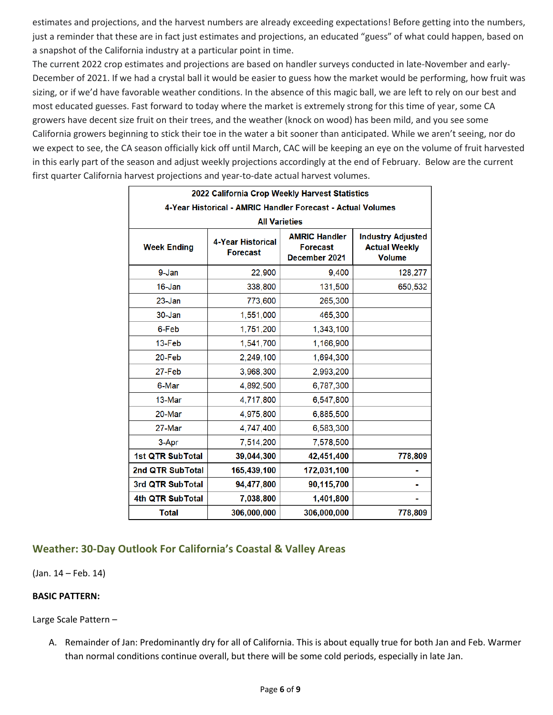estimates and projections, and the harvest numbers are already exceeding expectations! Before getting into the numbers, just a reminder that these are in fact just estimates and projections, an educated "guess" of what could happen, based on a snapshot of the California industry at a particular point in time.

The current 2022 crop estimates and projections are based on handler surveys conducted in late-November and early-December of 2021. If we had a crystal ball it would be easier to guess how the market would be performing, how fruit was sizing, or if we'd have favorable weather conditions. In the absence of this magic ball, we are left to rely on our best and most educated guesses. Fast forward to today where the market is extremely strong for this time of year, some CA growers have decent size fruit on their trees, and the weather (knock on wood) has been mild, and you see some California growers beginning to stick their toe in the water a bit sooner than anticipated. While we aren't seeing, nor do we expect to see, the CA season officially kick off until March, CAC will be keeping an eye on the volume of fruit harvested in this early part of the season and adjust weekly projections accordingly at the end of February. Below are the current first quarter California harvest projections and year-to-date actual harvest volumes.

| 2022 California Crop Weekly Harvest Statistics              |                                             |                                                          |                                                                   |  |  |  |
|-------------------------------------------------------------|---------------------------------------------|----------------------------------------------------------|-------------------------------------------------------------------|--|--|--|
| 4-Year Historical - AMRIC Handler Forecast - Actual Volumes |                                             |                                                          |                                                                   |  |  |  |
| <b>All Varieties</b>                                        |                                             |                                                          |                                                                   |  |  |  |
| <b>Week Ending</b>                                          | <b>4-Year Historical</b><br><b>Forecast</b> | <b>AMRIC Handler</b><br><b>Forecast</b><br>December 2021 | <b>Industry Adjusted</b><br><b>Actual Weekly</b><br><b>Volume</b> |  |  |  |
| 9-Jan                                                       | 22,900                                      | 9,400                                                    | 128,277                                                           |  |  |  |
| 16-Jan                                                      | 338,800                                     | 131,500                                                  | 650,532                                                           |  |  |  |
| $23 - Jan$                                                  | 773,600                                     | 265,300                                                  |                                                                   |  |  |  |
| 30-Jan                                                      | 1,551,000                                   | 465,300                                                  |                                                                   |  |  |  |
| 6-Feb                                                       | 1,751,200                                   | 1,343,100                                                |                                                                   |  |  |  |
| 13-Feb                                                      | 1,541,700                                   | 1,166,900                                                |                                                                   |  |  |  |
| 20-Feb                                                      | 2,249,100                                   | 1,694,300                                                |                                                                   |  |  |  |
| 27-Feb                                                      | 3,968,300                                   | 2,993,200                                                |                                                                   |  |  |  |
| 6-Mar                                                       | 4,892,500                                   | 6,787,300                                                |                                                                   |  |  |  |
| 13-Mar                                                      | 4,717,800                                   | 6,547,800                                                |                                                                   |  |  |  |
| 20-Mar                                                      | 4,975,800                                   | 6,885,500                                                |                                                                   |  |  |  |
| 27-Mar                                                      | 4,747,400                                   | 6,583,300                                                |                                                                   |  |  |  |
| 3-Apr                                                       | 7,514,200                                   | 7,578,500                                                |                                                                   |  |  |  |
| <b>1st QTR SubTotal</b>                                     | 39,044,300                                  | 42,451,400                                               | 778,809                                                           |  |  |  |
| 2nd QTR SubTotal                                            | 165,439,100                                 | 172,031,100                                              |                                                                   |  |  |  |
| 3rd QTR SubTotal                                            | 94,477,800                                  | 90,115,700                                               |                                                                   |  |  |  |
| 4th QTR SubTotal                                            | 7,038,800                                   | 1,401,800                                                |                                                                   |  |  |  |
| <b>Total</b>                                                | 306,000,000                                 | 306,000,000                                              | 778,809                                                           |  |  |  |

# <span id="page-5-0"></span>**Weather: 30-Day Outlook For California's Coastal & Valley Areas**

(Jan. 14 – Feb. 14)

#### **BASIC PATTERN:**

Large Scale Pattern –

A. Remainder of Jan: Predominantly dry for all of California. This is about equally true for both Jan and Feb. Warmer than normal conditions continue overall, but there will be some cold periods, especially in late Jan.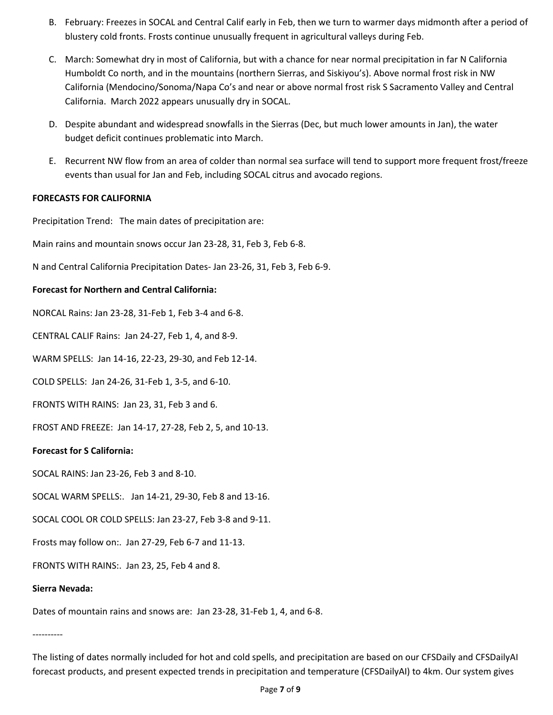- B. February: Freezes in SOCAL and Central Calif early in Feb, then we turn to warmer days midmonth after a period of blustery cold fronts. Frosts continue unusually frequent in agricultural valleys during Feb.
- C. March: Somewhat dry in most of California, but with a chance for near normal precipitation in far N California Humboldt Co north, and in the mountains (northern Sierras, and Siskiyou's). Above normal frost risk in NW California (Mendocino/Sonoma/Napa Co's and near or above normal frost risk S Sacramento Valley and Central California. March 2022 appears unusually dry in SOCAL.
- D. Despite abundant and widespread snowfalls in the Sierras (Dec, but much lower amounts in Jan), the water budget deficit continues problematic into March.
- E. Recurrent NW flow from an area of colder than normal sea surface will tend to support more frequent frost/freeze events than usual for Jan and Feb, including SOCAL citrus and avocado regions.

#### **FORECASTS FOR CALIFORNIA**

Precipitation Trend: The main dates of precipitation are:

Main rains and mountain snows occur Jan 23-28, 31, Feb 3, Feb 6-8.

N and Central California Precipitation Dates- Jan 23-26, 31, Feb 3, Feb 6-9.

#### **Forecast for Northern and Central California:**

NORCAL Rains: Jan 23-28, 31-Feb 1, Feb 3-4 and 6-8.

CENTRAL CALIF Rains: Jan 24-27, Feb 1, 4, and 8-9.

WARM SPELLS: Jan 14-16, 22-23, 29-30, and Feb 12-14.

COLD SPELLS: Jan 24-26, 31-Feb 1, 3-5, and 6-10.

FRONTS WITH RAINS: Jan 23, 31, Feb 3 and 6.

FROST AND FREEZE: Jan 14-17, 27-28, Feb 2, 5, and 10-13.

#### **Forecast for S California:**

SOCAL RAINS: Jan 23-26, Feb 3 and 8-10.

SOCAL WARM SPELLS:. Jan 14-21, 29-30, Feb 8 and 13-16.

SOCAL COOL OR COLD SPELLS: Jan 23-27, Feb 3-8 and 9-11.

Frosts may follow on:. Jan 27-29, Feb 6-7 and 11-13.

FRONTS WITH RAINS:. Jan 23, 25, Feb 4 and 8.

#### **Sierra Nevada:**

Dates of mountain rains and snows are: Jan 23-28, 31-Feb 1, 4, and 6-8.

----------

The listing of dates normally included for hot and cold spells, and precipitation are based on our CFSDaily and CFSDailyAI forecast products, and present expected trends in precipitation and temperature (CFSDailyAI) to 4km. Our system gives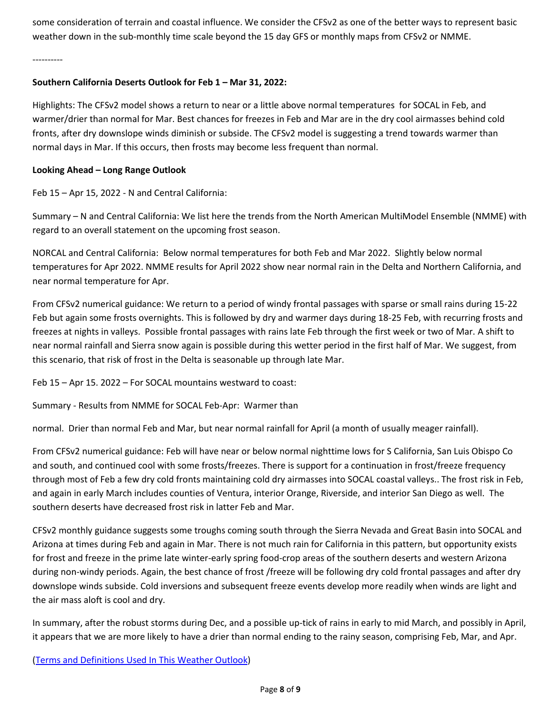some consideration of terrain and coastal influence. We consider the CFSv2 as one of the better ways to represent basic weather down in the sub-monthly time scale beyond the 15 day GFS or monthly maps from CFSv2 or NMME.

----------

#### **Southern California Deserts Outlook for Feb 1 – Mar 31, 2022:**

Highlights: The CFSv2 model shows a return to near or a little above normal temperatures for SOCAL in Feb, and warmer/drier than normal for Mar. Best chances for freezes in Feb and Mar are in the dry cool airmasses behind cold fronts, after dry downslope winds diminish or subside. The CFSv2 model is suggesting a trend towards warmer than normal days in Mar. If this occurs, then frosts may become less frequent than normal.

#### **Looking Ahead – Long Range Outlook**

Feb 15 – Apr 15, 2022 - N and Central California:

Summary – N and Central California: We list here the trends from the North American MultiModel Ensemble (NMME) with regard to an overall statement on the upcoming frost season.

NORCAL and Central California: Below normal temperatures for both Feb and Mar 2022. Slightly below normal temperatures for Apr 2022. NMME results for April 2022 show near normal rain in the Delta and Northern California, and near normal temperature for Apr.

From CFSv2 numerical guidance: We return to a period of windy frontal passages with sparse or small rains during 15-22 Feb but again some frosts overnights. This is followed by dry and warmer days during 18-25 Feb, with recurring frosts and freezes at nights in valleys. Possible frontal passages with rains late Feb through the first week or two of Mar. A shift to near normal rainfall and Sierra snow again is possible during this wetter period in the first half of Mar. We suggest, from this scenario, that risk of frost in the Delta is seasonable up through late Mar.

Feb 15 – Apr 15. 2022 – For SOCAL mountains westward to coast:

Summary - Results from NMME for SOCAL Feb-Apr: Warmer than

normal. Drier than normal Feb and Mar, but near normal rainfall for April (a month of usually meager rainfall).

From CFSv2 numerical guidance: Feb will have near or below normal nighttime lows for S California, San Luis Obispo Co and south, and continued cool with some frosts/freezes. There is support for a continuation in frost/freeze frequency through most of Feb a few dry cold fronts maintaining cold dry airmasses into SOCAL coastal valleys.. The frost risk in Feb, and again in early March includes counties of Ventura, interior Orange, Riverside, and interior San Diego as well. The southern deserts have decreased frost risk in latter Feb and Mar.

CFSv2 monthly guidance suggests some troughs coming south through the Sierra Nevada and Great Basin into SOCAL and Arizona at times during Feb and again in Mar. There is not much rain for California in this pattern, but opportunity exists for frost and freeze in the prime late winter-early spring food-crop areas of the southern deserts and western Arizona during non-windy periods. Again, the best chance of frost /freeze will be following dry cold frontal passages and after dry downslope winds subside. Cold inversions and subsequent freeze events develop more readily when winds are light and the air mass aloft is cool and dry.

In summary, after the robust storms during Dec, and a possible up-tick of rains in early to mid March, and possibly in April, it appears that we are more likely to have a drier than normal ending to the rainy season, comprising Feb, Mar, and Apr.

[\(Terms and Definitions Used In This Weather Outlook\)](https://www.californiaavocadogrowers.com/node/17484)